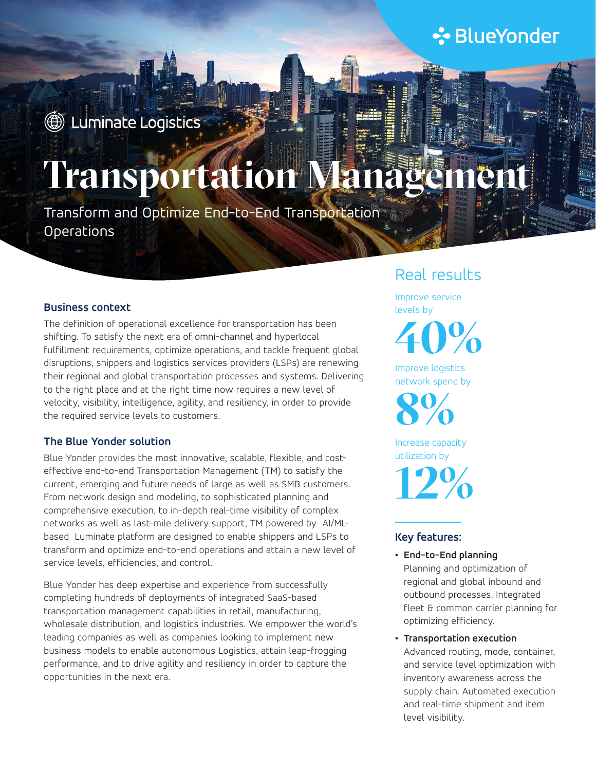# **∻**BlueYonder

## **1** Luminate Logistics

# **Transportation Management**

Transform and Optimize End-to-End Transportation Operations

#### **Business context**

The definition of operational excellence for transportation has been shifting. To satisfy the next era of omni-channel and hyperlocal fulfillment requirements, optimize operations, and tackle frequent global disruptions, shippers and logistics services providers (LSPs) are renewing their regional and global transportation processes and systems. Delivering to the right place and at the right time now requires a new level of velocity, visibility, intelligence, agility, and resiliency, in order to provide the required service levels to customers.

#### **The Blue Yonder solution**

Blue Yonder provides the most innovative, scalable, flexible, and costeffective end-to-end Transportation Management (TM) to satisfy the current, emerging and future needs of large as well as SMB customers. From network design and modeling, to sophisticated planning and comprehensive execution, to in-depth real-time visibility of complex networks as well as last-mile delivery support, TM powered by AI/MLbased Luminate platform are designed to enable shippers and LSPs to transform and optimize end-to-end operations and attain a new level of service levels, efficiencies, and control.

Blue Yonder has deep expertise and experience from successfully completing hundreds of deployments of integrated SaaS-based transportation management capabilities in retail, manufacturing, wholesale distribution, and logistics industries. We empower the world's leading companies as well as companies looking to implement new business models to enable autonomous Logistics, attain leap-frogging performance, and to drive agility and resiliency in order to capture the opportunities in the next era.

### Real results

Improve service levels by

**40%**

Improve logistics network spend by

Increase capacity **8%**

utilization by **12%**

#### **Key features:**

- **• End-to-End planning**  Planning and optimization of regional and global inbound and outbound processes. Integrated fleet & common carrier planning for optimizing efficiency.
- **• Transportation execution** Advanced routing, mode, container, and service level optimization with inventory awareness across the supply chain. Automated execution and real-time shipment and item level visibility.